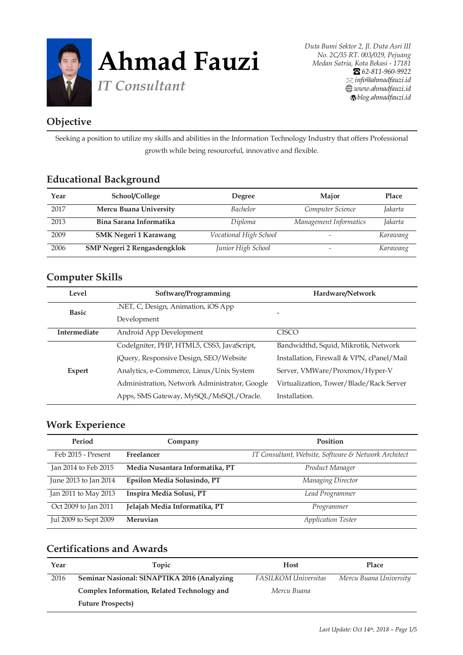

## **Objective**

Seeking a position to utilize my skills and abilities in the Information Technology Industry that offers Professional growth while being resourceful, innovative and flexible.

### **Educational Background**

| Year | School/College                     | Degree                 | Major                  | Place    |
|------|------------------------------------|------------------------|------------------------|----------|
| 2017 | Mercu Buana University             | <b>Bachelor</b>        | Computer Science       | Jakarta  |
| 2013 | Bina Sarana Informatika            | Diploma                | Management Informatics | Jakarta  |
| 2009 | <b>SMK Negeri 1 Karawang</b>       | Vocational High School |                        | Karawang |
| 2006 | <b>SMP Negeri 2 Rengasdengklok</b> | Junior High School     |                        | Karawang |

#### **Computer Skills**

| Level         | Software/Programming                          | Hardware/Network                          |
|---------------|-----------------------------------------------|-------------------------------------------|
| <b>Basic</b>  | .NET, C, Design, Animation, iOS App           |                                           |
|               | Development                                   | $\overline{\phantom{0}}$                  |
| Intermediate  | Android App Development                       | CISCO                                     |
|               | CodeIgniter, PHP, HTML5, CSS3, JavaScript,    | Bandwidthd, Squid, Mikrotik, Network      |
|               | jQuery, Responsive Design, SEO/Website        | Installation, Firewall & VPN, cPanel/Mail |
| <b>Expert</b> | Analytics, e-Commerce, Linux/Unix System      | Server, VMWare/Proxmox/Hyper-V            |
|               | Administration, Network Administrator, Google | Virtualization, Tower/Blade/Rack Server   |
|               | Apps, SMS Gateway, MySQL/MsSQL/Oracle.        | Installation.                             |

#### **Work Experience**

| Period                | Company                         | Position                                             |  |
|-----------------------|---------------------------------|------------------------------------------------------|--|
| Feb 2015 - Present    | Freelancer                      | IT Consultant, Website, Software & Network Architect |  |
| Jan 2014 to Feb 2015  | Media Nusantara Informatika, PT | Product Manager                                      |  |
| June 2013 to Jan 2014 | Epsilon Media Solusindo, PT     | Managing Director                                    |  |
| Jan 2011 to May 2013  | Inspira Media Solusi, PT        | Lead Programmer                                      |  |
| Oct 2009 to Jan 2011  | Jelajah Media Informatika, PT   | Programmer                                           |  |
| Jul 2009 to Sept 2009 | Meruvian                        | <b>Application Tester</b>                            |  |

#### **Certifications and Awards**

| Year | Topic                                       | <b>Host</b>                 | Place                  |
|------|---------------------------------------------|-----------------------------|------------------------|
| 2016 | Seminar Nasional: SINAPTIKA 2016 (Analyzing | <b>FASILKOM Universitas</b> | Mercu Buana University |
|      | Complex Information, Related Technology and | Mercu Buana                 |                        |
|      | <b>Future Prospects</b> )                   |                             |                        |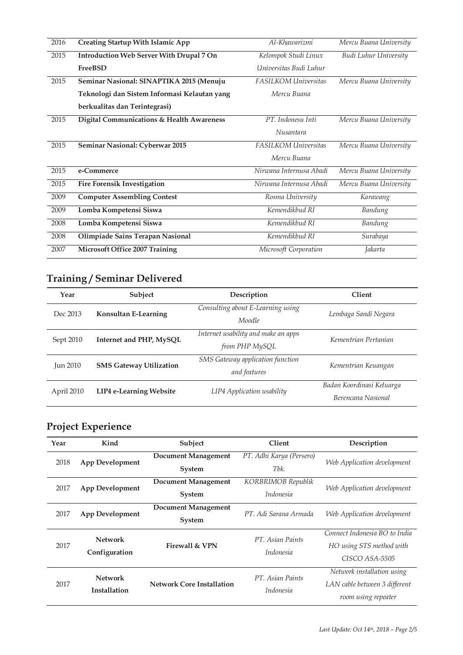| 2016 | <b>Creating Startup With Islamic App</b>     | Al-Khawarizmi               | Mercu Buana University |
|------|----------------------------------------------|-----------------------------|------------------------|
| 2015 | Introduction Web Server With Drupal 7 On     | Kelompok Studi Linux        | Budi Luhur University  |
|      | <b>FreeBSD</b>                               | Universitas Budi Luhur      |                        |
| 2015 | Seminar Nasional: SINAPTIKA 2015 (Menuju     | FASILKOM Universitas        | Mercu Buana University |
|      | Teknologi dan Sistem Informasi Kelautan yang | Mercu Buana                 |                        |
|      | berkualitas dan Terintegrasi)                |                             |                        |
| 2015 | Digital Communications & Health Awareness    | PT. Indonesu Inti           | Mercu Buana University |
|      |                                              | Nusantara                   |                        |
| 2015 | Seminar Nasional: Cyberwar 2015              | <b>FASILKOM Universitas</b> | Mercu Buana University |
|      |                                              | Mercu Buana                 |                        |
| 2015 | e-Commerce                                   | Nirwana Internusa Abadi     | Mercu Buana University |
| 2015 | <b>Fire Forensik Investigation</b>           | Nirwana Internusa Abadi     | Mercu Buana University |
| 2009 | <b>Computer Assembling Contest</b>           | Rosma University            | Karawang               |
| 2009 | Lomba Kompetensi Siswa                       | Kemendikbud RI              | Bandung                |
| 2008 | Lomba Kompetensi Siswa                       | Kemendikbud RI              | Bandung                |
| 2008 | Olimpiade Sains Terapan Nasional             | Kemendikbud RI              | Surabaya               |
| 2007 | Microsoft Office 2007 Training               | Microsoft Corporation       | Jakarta                |

## **Training / Seminar Delivered**

| Year            | Subject                        | Description                                           | <b>Client</b>                                   |
|-----------------|--------------------------------|-------------------------------------------------------|-------------------------------------------------|
| Dec 2013        | <b>Konsultan E-Learning</b>    | Consulting about E-Learning using<br>Moodle           | Lembaga Sandi Negara                            |
| Sept 2010       | Internet and PHP, MySQL        | Internet usability and make an apps<br>from PHP MySQL | Kementrian Pertanian                            |
| <b>Jun 2010</b> | <b>SMS Gateway Utilization</b> | SMS Gateway application function<br>and features      | Kementrian Keuangan                             |
| April 2010      | <b>LIP4 e-Learning Website</b> | LIP4 Application usability                            | Badan Koordinasi Keluarga<br>Berencana Nasional |

# **Project Experience**

| Year | Kind                            | Subject                                     | <b>Client</b>                        | Description                                                                        |
|------|---------------------------------|---------------------------------------------|--------------------------------------|------------------------------------------------------------------------------------|
| 2018 | <b>App Development</b>          | <b>Document Management</b><br><b>System</b> | PT. Adhi Karya (Persero)<br>Thk.     | Web Application development                                                        |
| 2017 | <b>App Development</b>          | <b>Document Management</b><br><b>System</b> | KORBRIMOB Republik<br>Indonesia      | Web Application development                                                        |
| 2017 | <b>App Development</b>          | <b>Document Management</b><br><b>System</b> | PT. Adi Sarana Armada                | Web Application development                                                        |
| 2017 | <b>Network</b><br>Configuration | Firewall & VPN                              | PT. Asian Paints<br><i>Indonesia</i> | Connect Indonesia BO to India<br>HO using STS method with<br>CISCO ASA-5505        |
| 2017 | <b>Network</b><br>Installation  | <b>Network Core Installation</b>            | PT. Asian Paints<br>Indonesia        | Network installation using<br>LAN cable between 3 different<br>room using repeater |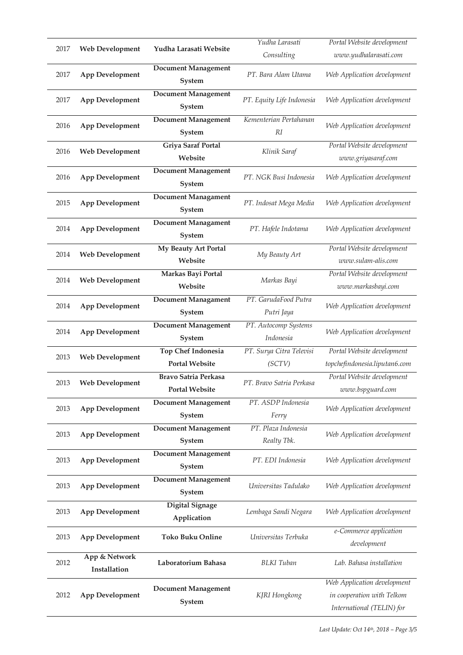|      |                        |                             | Yudha Larasati            | Portal Website development    |
|------|------------------------|-----------------------------|---------------------------|-------------------------------|
| 2017 | <b>Web Development</b> | Yudha Larasati Website      | Consulting                | www.yudhalarasati.com         |
|      |                        | <b>Document Management</b>  |                           |                               |
| 2017 | <b>App Development</b> |                             | PT. Bara Alam Utama       | Web Application development   |
|      |                        | System                      |                           |                               |
| 2017 | <b>App Development</b> | <b>Document Management</b>  | PT. Equity Life Indonesia | Web Application development   |
|      |                        | System                      |                           |                               |
|      |                        | <b>Document Management</b>  | Kementerian Pertahanan    |                               |
| 2016 | <b>App Development</b> | System                      | RI                        | Web Application development   |
|      |                        | <b>Griya Saraf Portal</b>   |                           | Portal Website development    |
| 2016 | <b>Web Development</b> |                             | Klinik Saraf              |                               |
|      |                        | Website                     |                           | www.griyasaraf.com            |
| 2016 | <b>App Development</b> | Document Management         | PT. NGK Busi Indonesia    | Web Application development   |
|      |                        | System                      |                           |                               |
|      |                        | <b>Document Managament</b>  |                           |                               |
| 2015 | <b>App Development</b> | System                      | PT. Indosat Mega Media    | Web Application development   |
|      |                        | <b>Document Managament</b>  |                           |                               |
| 2014 | <b>App Development</b> |                             | PT. Hafele Indotama       | Web Application development   |
|      |                        | System                      |                           |                               |
| 2014 | <b>Web Development</b> | My Beauty Art Portal        | My Beauty Art             | Portal Website development    |
|      |                        | Website                     |                           | www.sulam-alis.com            |
|      |                        | Markas Bayi Portal          |                           | Portal Website development    |
| 2014 | <b>Web Development</b> | Website                     | Markas Bayi               | www.markasbayi.com            |
|      |                        | Document Managament         | PT. GarudaFood Putra      |                               |
| 2014 | <b>App Development</b> | System                      | Putri Jaya                | Web Application development   |
|      |                        |                             |                           |                               |
| 2014 | <b>App Development</b> | <b>Document Management</b>  | PT. Autocomp Systems      | Web Application development   |
|      |                        | System                      | Indonesia                 |                               |
| 2013 | <b>Web Development</b> | Top Chef Indonesia          | PT. Surya Citra Televisi  | Portal Website development    |
|      |                        | <b>Portal Website</b>       | (SCTV)                    | topchefindonesia.liputan6.com |
|      |                        | <b>Bravo Satria Perkasa</b> |                           | Portal Website development    |
| 2013 | <b>Web Development</b> | <b>Portal Website</b>       | PT. Bravo Satria Perkasa  | www.bspguard.com              |
|      |                        | <b>Document Management</b>  | PT. ASDP Indonesia        |                               |
| 2013 | <b>App Development</b> |                             |                           | Web Application development   |
|      |                        | System                      | Ferry                     |                               |
| 2013 | <b>App Development</b> | <b>Document Management</b>  | PT. Plaza Indonesia       | Web Application development   |
|      |                        | System                      | Realty Tbk.               |                               |
|      |                        | <b>Document Management</b>  | PT. EDI Indonesia         |                               |
| 2013 | <b>App Development</b> | System                      |                           | Web Application development   |
|      |                        | <b>Document Management</b>  |                           |                               |
| 2013 | <b>App Development</b> | System                      | Universitas Tadulako      | Web Application development   |
|      |                        |                             |                           |                               |
| 2013 | <b>App Development</b> | <b>Digital Signage</b>      | Lembaga Sandi Negara      | Web Application development   |
|      |                        | Application                 |                           |                               |
| 2013 | <b>App Development</b> | <b>Toko Buku Online</b>     | Universitas Terbuka       | e-Commerce application        |
|      |                        |                             |                           | development                   |
|      | App & Network          |                             |                           |                               |
| 2012 | Installation           | Laboratorium Bahasa         | <b>BLKI</b> Tuban         | Lab. Bahasa installation      |
|      |                        |                             |                           | Web Application development   |
| 2012 | <b>App Development</b> | <b>Document Management</b>  | KJRI Hongkong             |                               |
|      |                        | System                      |                           | in cooperation with Telkom    |
|      |                        |                             |                           | International (TELIN) for     |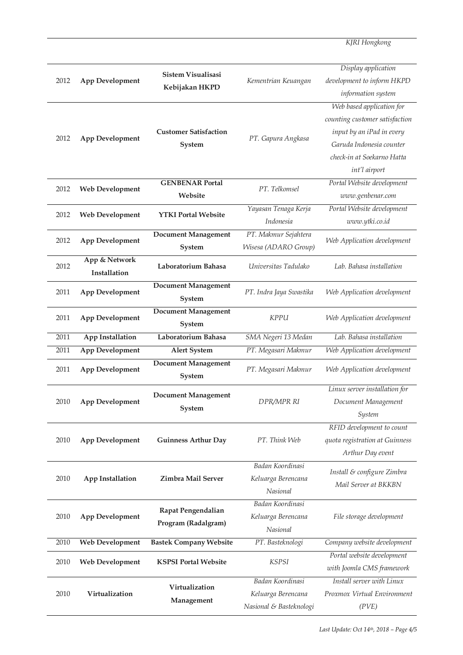*KJRI Hongkong*

| 2012 | <b>App Development</b>        | Sistem Visualisasi<br>Kebijakan HKPD      | Kementrian Keuangan                                               | Display application<br>development to inform HKPD<br>information system                                                                                             |
|------|-------------------------------|-------------------------------------------|-------------------------------------------------------------------|---------------------------------------------------------------------------------------------------------------------------------------------------------------------|
| 2012 | <b>App Development</b>        | <b>Customer Satisfaction</b><br>System    | PT. Gapura Angkasa                                                | Web based application for<br>counting customer satisfaction<br>input by an iPad in every<br>Garuda Indonesia counter<br>check-in at Soekarno Hatta<br>int'l airport |
| 2012 | <b>Web Development</b>        | <b>GENBENAR Portal</b><br>Website         | PT. Telkomsel                                                     | Portal Website development<br>www.genbenar.com                                                                                                                      |
| 2012 | <b>Web Development</b>        | <b>YTKI Portal Website</b>                | Yayasan Tenaga Kerja<br>Indonesia                                 | Portal Website development<br>www.ytki.co.id                                                                                                                        |
| 2012 | <b>App Development</b>        | <b>Document Management</b><br>System      | PT. Makmur Sejahtera<br>Wisesa (ADARO Group)                      | Web Application development                                                                                                                                         |
| 2012 | App & Network<br>Installation | Laboratorium Bahasa                       | Universitas Tadulako                                              | Lab. Bahasa installation                                                                                                                                            |
| 2011 | <b>App Development</b>        | <b>Document Management</b><br>System      | PT. Indra Jaya Swastika                                           | Web Application development                                                                                                                                         |
| 2011 | <b>App Development</b>        | <b>Document Management</b><br>System      | <b>KPPU</b>                                                       | Web Application development                                                                                                                                         |
| 2011 | <b>App Installation</b>       | Laboratorium Bahasa                       | SMA Negeri 13 Medan                                               | Lab. Bahasa installation                                                                                                                                            |
| 2011 | <b>App Development</b>        | <b>Alert System</b>                       | PT. Megasari Makmur                                               | Web Application development                                                                                                                                         |
| 2011 | <b>App Development</b>        | <b>Document Management</b><br>System      | PT. Megasari Makmur                                               | Web Application development                                                                                                                                         |
| 2010 | <b>App Development</b>        | <b>Document Management</b><br>System      | DPR/MPR RI                                                        | Linux server installation for<br>Document Management<br>System                                                                                                      |
| 2010 | <b>App Development</b>        | <b>Guinness Arthur Day</b>                | PT. Think Web                                                     | RFID development to count<br>quota registration at Guinness<br>Arthur Day event                                                                                     |
| 2010 | App Installation              | Zimbra Mail Server                        | Badan Koordinasi<br>Keluarga Berencana<br>Nasional                | Install & configure Zimbra<br>Mail Server at BKKBN                                                                                                                  |
| 2010 | <b>App Development</b>        | Rapat Pengendalian<br>Program (Radalgram) | Badan Koordinasi<br>Keluarga Berencana<br>Nasional                | File storage development                                                                                                                                            |
| 2010 | <b>Web Development</b>        | <b>Bastek Company Website</b>             | PT. Basteknologi                                                  | Company website development                                                                                                                                         |
| 2010 | <b>Web Development</b>        | <b>KSPSI Portal Website</b>               | <b>KSPSI</b>                                                      | Portal website development<br>with Joomla CMS framework                                                                                                             |
| 2010 | Virtualization                | Virtualization<br>Management              | Badan Koordinasi<br>Keluarga Berencana<br>Nasional & Basteknologi | Install server with Linux<br>Proxmox Virtual Environment<br>(PVE)                                                                                                   |